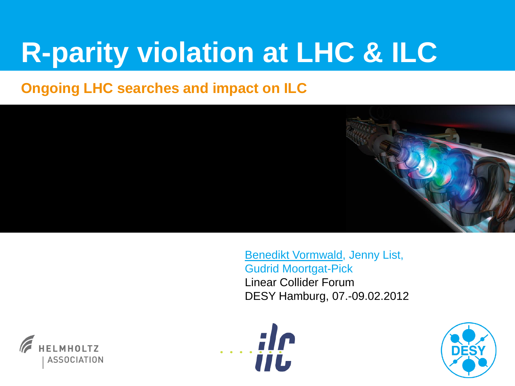# **R-parity violation at LHC & ILC**

### **Ongoing LHC searches and impact on ILC**



Benedikt Vormwald, Jenny List, Gudrid Moortgat-Pick Linear Collider Forum DESY Hamburg, 07.-09.02.2012





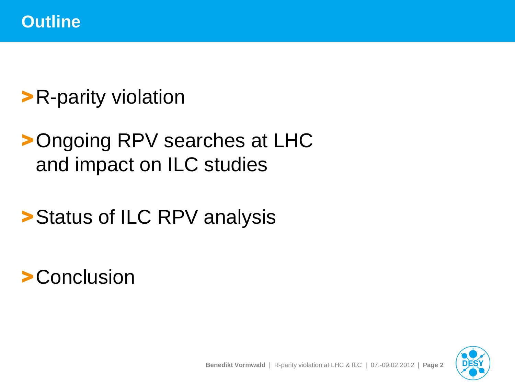# >R-parity violation

# >Ongoing RPV searches at LHC and impact on ILC studies

## >Status of ILC RPV analysis

## >Conclusion

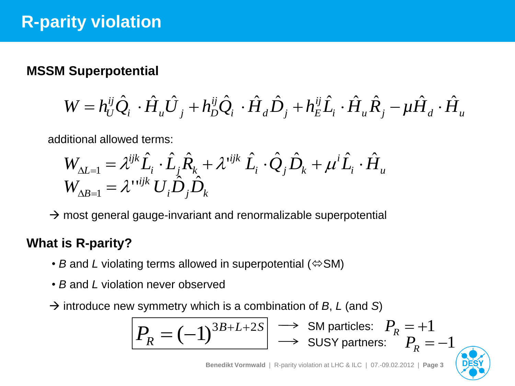### **MSSM Superpotential**

$$
W = h_U^{ij} \hat{Q}_i \cdot \hat{H}_u \hat{U}_j + h_D^{ij} \hat{Q}_i \cdot \hat{H}_d \hat{D}_j + h_E^{ij} \hat{L}_i \cdot \hat{H}_u \hat{R}_j - \mu \hat{H}_d \cdot \hat{H}_u
$$

additional allowed terms:

$$
W_{\Delta L=1} = \lambda^{ijk} \hat{L}_i \cdot \hat{L}_j \hat{R}_k + \lambda^{ijk} \hat{L}_i \cdot \hat{Q}_j \hat{D}_k + \mu^i \hat{L}_i \cdot \hat{H}_u
$$
  

$$
W_{\Delta B=1} = \lambda^{i} \sum_{k} \hat{D}_j \hat{D}_k
$$

 $\rightarrow$  most general gauge-invariant and renormalizable superpotential

### **What is R-parity?**

- *B* and *L* violating terms allowed in superpotential ( $\Leftrightarrow$  SM)
- *B* and *L* violation never observed
- $\rightarrow$  introduce new symmetry which is a combination of *B*, *L* (and *S*)

$$
\boxed{P_R = (-1)^{3B+L+2S}} \implies \text{SM particles: } P_R = +1
$$
  

$$
\implies \text{SUSY partners: } P_R = -1
$$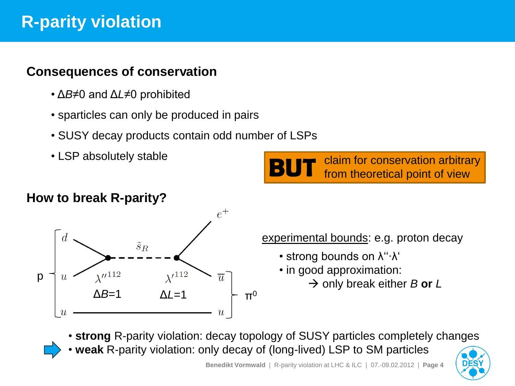### **R-parity violation**

#### **Consequences of conservation**

- Δ*B*≠0 and Δ*L*≠0 prohibited
- sparticles can only be produced in pairs
- SUSY decay products contain odd number of LSPs
- 

#### **How to break R-parity?**



experimental bounds: e.g. proton decay

- strong bounds on λ"⋅λ"
- in good approximation:
	- → only break either *B* or *L*

• **strong** R-parity violation: decay topology of SUSY particles completely changes

• **weak** R-parity violation: only decay of (long-lived) LSP to SM particles



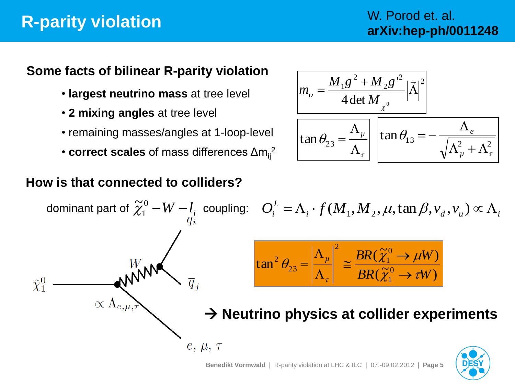### **R-parity violation**

#### **Some facts of bilinear R-parity violation**

- **largest neutrino mass** at tree level
- **2 mixing angles** at tree level
- *e* remaining masses/angles at 1-loop-level
- **correct scales** of mass differences Δm<sub>ij</sub><sup>2</sup>

$$
m_{\upsilon} = \frac{M_1 g^2 + M_2 g^2}{4 \det M_{\chi^0}} |\vec{\Lambda}|^2
$$

$$
\tan \theta_{23} = \frac{\Lambda_{\mu}}{\Lambda_{\tau}} \left[ \tan \theta_{13} = -\frac{\Lambda_e}{\sqrt{\Lambda_{\mu}^2 + \Lambda_{\tau}^2}} \right]
$$

### **How is that connected to colliders?**

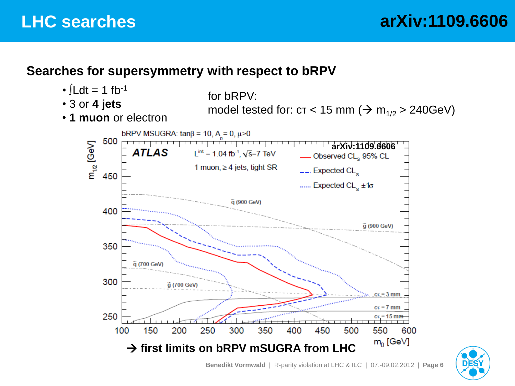#### **Searches for supersymmetry with respect to bRPV**



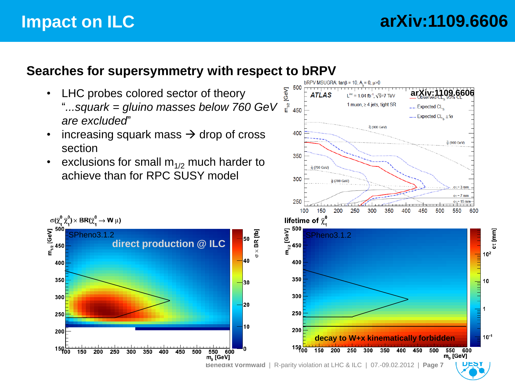### **Impact on ILC**

 $\sigma(\widetilde{\chi}^0_1\,\widetilde{\chi}^0_1)\times \text{BR}(\widetilde{\chi}^0_1\rightarrow \text{W}\,\mu)$ 

 $\frac{1}{2}$ <br> $\frac{1}{2}$ <br> $\frac{1}{2}$ <br> $\frac{1}{2}$ <br> $\frac{1}{2}$ <br> $\frac{1}{2}$ <br> $\frac{1}{2}$ <br> $\frac{1}{2}$ <br><br> $\frac{1}{2}$ 

400

350

300

250

 $200$ 

150 <del>L</del><br>1500

150

200

250

300

#### **Searches for supersymmetry with respect to bRPV**

- LHC probes colored sector of theory "*...squark = gluino masses below 760 GeV are excluded*"
- increasing squark mass  $\rightarrow$  drop of cross section
- exclusions for small  $m_{1/2}$  much harder to achieve than for RPC SUSY model

350

400

450

500

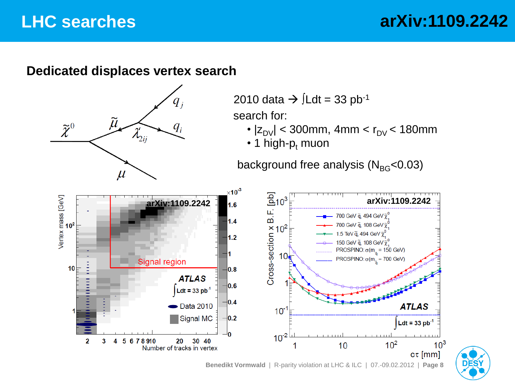### **LHC searches**

### **arXiv:1109.2242**

#### **Dedicated displaces vertex search**



2010 data  $\rightarrow$   $\int$ Ldt = 33 pb<sup>-1</sup>

search for:

- $|z_{\text{DV}}|$  < 300mm, 4mm <  $r_{\text{DV}}$  < 180mm
- $\cdot$  1 high-p<sub>t</sub> muon

background free analysis ( $N_{BG}$ <0.03)



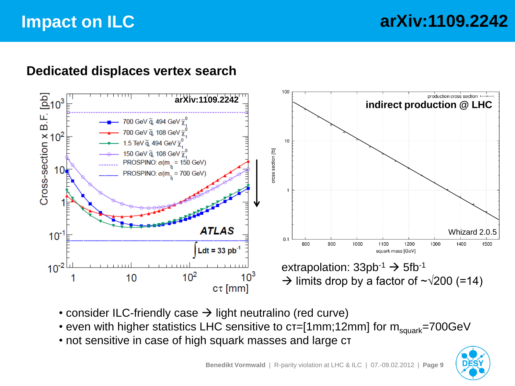### **Impact on ILC**

#### **Dedicated displaces vertex search**



- consider ILC-friendly case  $\rightarrow$  light neutralino (red curve)
- even with higher statistics LHC sensitive to  $cr=[1mm;12mm]$  for  $m_{square}=700GeV$
- not sensitive in case of high squark masses and large cτ

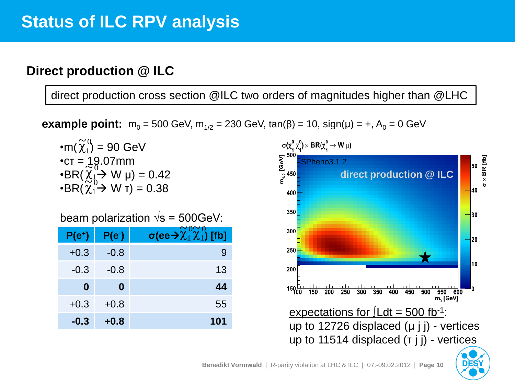#### **Direct production @ ILC**

direct production cross section @ILC two orders of magnitudes higher than @LHC

**example point:**  $m_0 = 500$  GeV,  $m_{1/2} = 230$  GeV, tan( $\beta$ ) = 10, sign( $\mu$ ) = +, A<sub>0</sub> = 0 GeV

$$
\begin{aligned}\n\mathbf{m}(\widetilde{\chi}_1^0) &= 90 \text{ GeV} \\
\mathbf{r} &= 19.07 \text{mm} \\
\mathbf{r} &= 19.07 \text{mm} \\
\mathbf{r} &= 0.42 \\
\mathbf{r} &= 0.38\n\end{aligned}
$$

beam polarization  $\sqrt{s}$  = 500GeV:

| $\sim$<br>,,,,,,,,, |                    |                                                                                |
|---------------------|--------------------|--------------------------------------------------------------------------------|
| $P(e^+)$            | P(e <sub>1</sub> ) | σ(ee $\bm{\rightarrow}\widetilde{\bm{\chi}}_1^0\widetilde{\bm{\chi}}_1^0$ [fb] |
| $+0.3$              | $-0.8$             | 9                                                                              |
| $-0.3$              | $-0.8$             | 13                                                                             |
| $\bf{0}$            | 0                  | 44                                                                             |
| $+0.3$              | $+0.8$             | 55                                                                             |
| $-0.3$              | $+0.8$             | 101                                                                            |

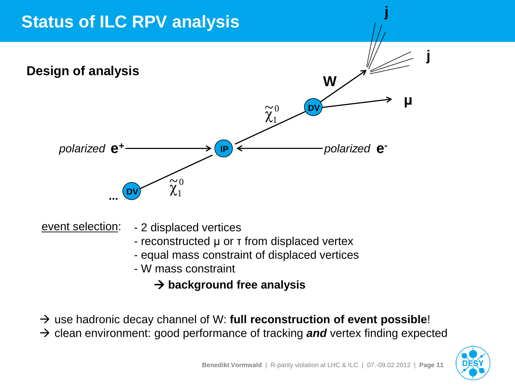### **Status of ILC RPV analysis**



- 2 displaced vertices event selection:

- reconstructed μ or τ from displaced vertex
- equal mass constraint of displaced vertices
- W mass constraint
	- $→$  **background free analysis**
- → use hadronic decay channel of W: **full reconstruction of event possible**!
- $\rightarrow$  clean environment: good performance of tracking and vertex finding expected



**j**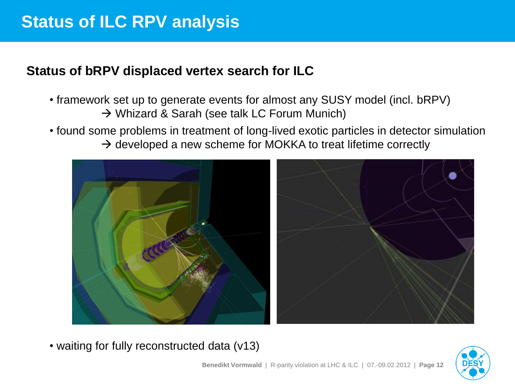### **Status of ILC RPV analysis**

#### **Status of bRPV displaced vertex search for ILC**

- framework set up to generate events for almost any SUSY model (incl. bRPV) → Whizard & Sarah (see talk LC Forum Munich)
- found some problems in treatment of long-lived exotic particles in detector simulation  $\rightarrow$  developed a new scheme for MOKKA to treat lifetime correctly



• waiting for fully reconstructed data (v13)

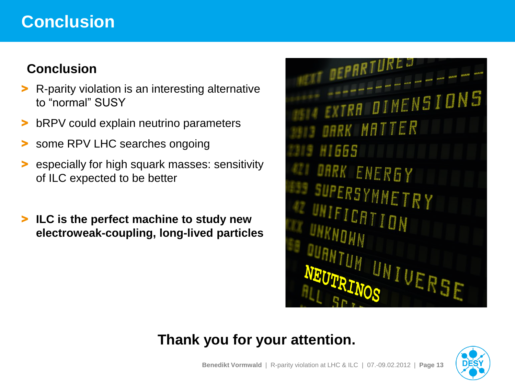### **Conclusion**

### **Conclusion**

- > R-parity violation is an interesting alternative to "normal" SUSY
- bRPV could explain neutrino parameters
- some RPV LHC searches ongoing
- especially for high squark masses: sensitivity of ILC expected to be better
- > **ILC is the perfect machine to study new electroweak-coupling, long-lived particles**

A DIMENSI DARK MATTER 11665 RK ENERGY **SUPERSYMMETRY** ICATION UNIVERSE

### **Thank you for your attention.**

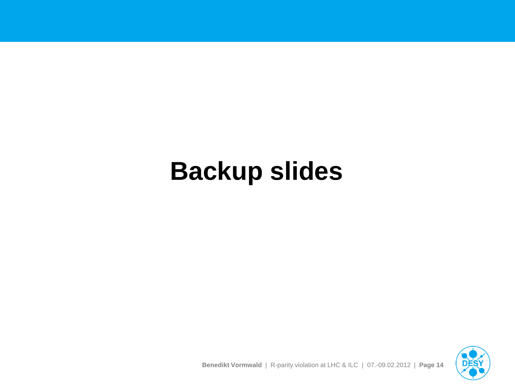# **Backup slides**

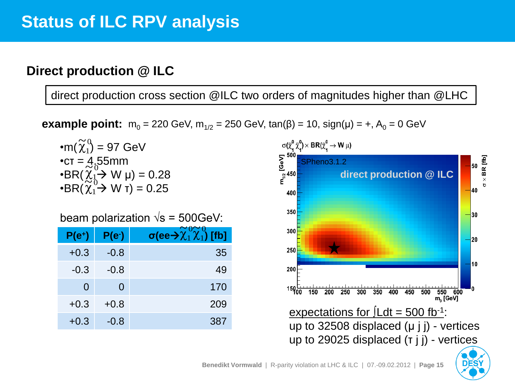#### **Direct production @ ILC**

direct production cross section @ILC two orders of magnitudes higher than @LHC

**example point:**  $m_0 = 220$  GeV,  $m_{1/2} = 250$  GeV, tan( $\beta$ ) = 10, sign( $\mu$ ) = +, A<sub>0</sub> = 0 GeV

•m(
$$
\widetilde{\chi}_1^0
$$
) = 97 GeV  
\n•cr = 4.55mm  
\n•BR( $\widetilde{\chi}_1^0$ → W µ) = 0.28  
\n•BR( $\widetilde{\chi}_1^0$ → W T) = 0.25

beam polarization  $\sqrt{s}$  = 500GeV:

| $\sim$   |                    |                                                                                |
|----------|--------------------|--------------------------------------------------------------------------------|
| $P(e^+)$ | P(e <sub>1</sub> ) | σ(ee $\bm{\rightarrow}\widetilde{\bm{\chi}}_1^0\widetilde{\bm{\chi}}_1^0$ [fb] |
| $+0.3$   | $-0.8$             | 35                                                                             |
| $-0.3$   | $-0.8$             | 49                                                                             |
| $\Omega$ | 0                  | 170                                                                            |
| $+0.3$   | $+0.8$             | 209                                                                            |
| $+0.3$   | $-0.8$             | 387                                                                            |

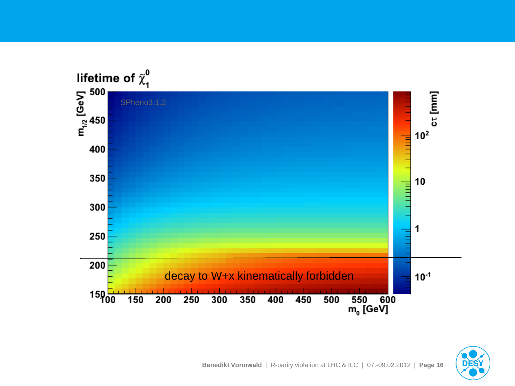

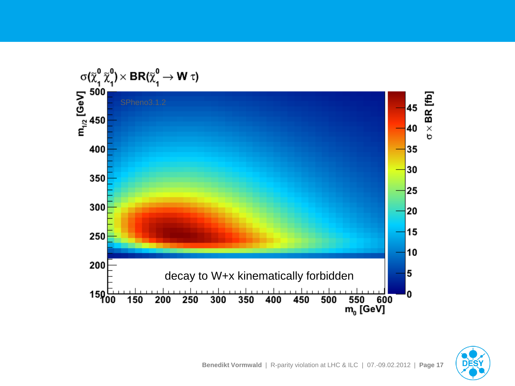

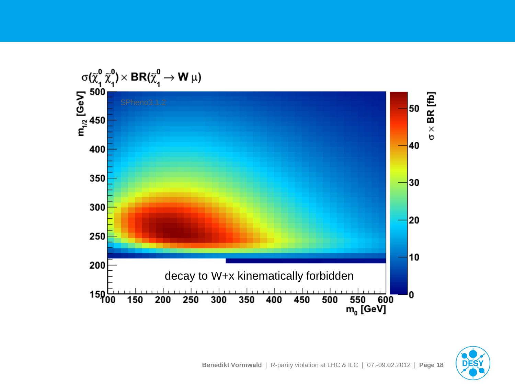

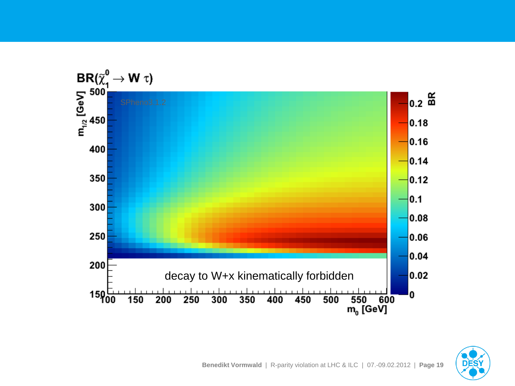

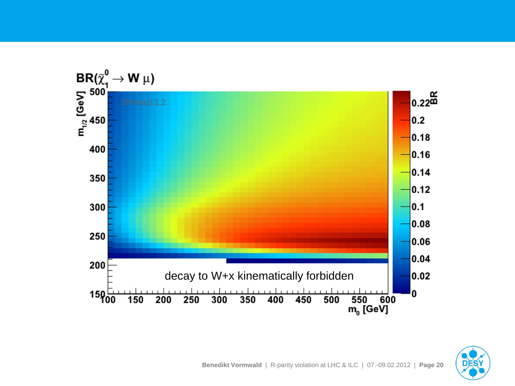

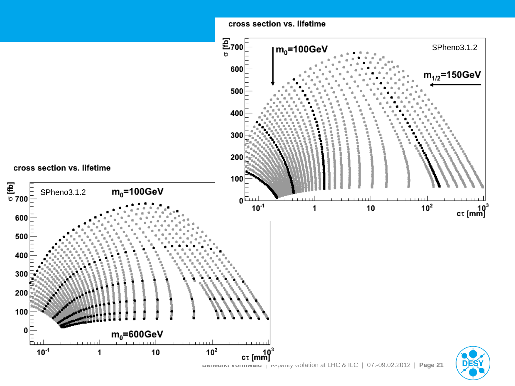

 $10<sup>2</sup>$ 

10

1

 $10^{-1}$ 

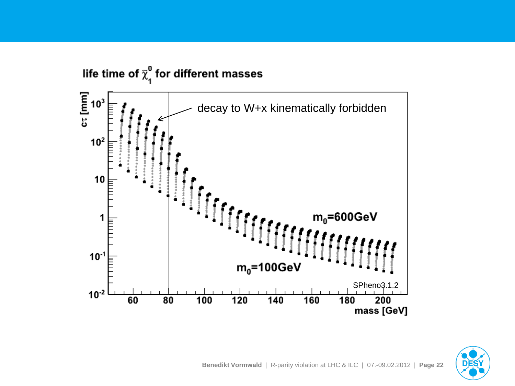

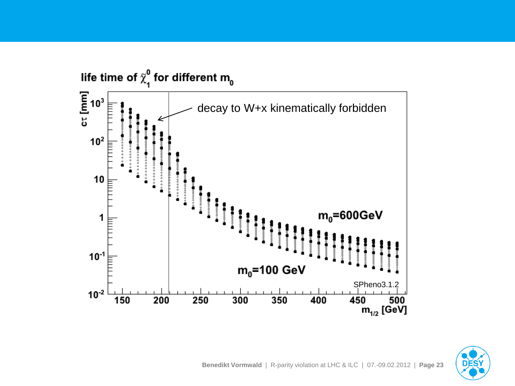

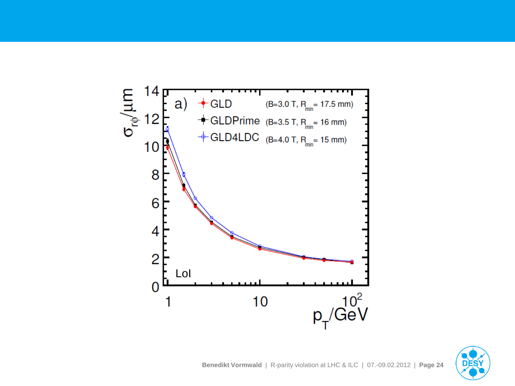

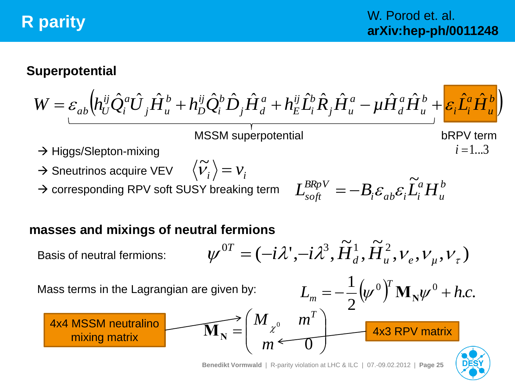### **R parity**

#### **Superpotential**

$$
W = \varepsilon_{ab} \Big( h_U^{ij} \hat{Q}_i^a \hat{U}_j \hat{H}_u^b + h_D^{ij} \hat{Q}_i^b \hat{D}_j \hat{H}_d^a + h_E^{ij} \hat{L}_i^b \hat{R}_j \hat{H}_u^a - \mu \hat{H}_d^a \hat{H}_u^b + \varepsilon_i \hat{L}_i^a \hat{H}_u^b \Big)
$$

 $\rightarrow$  Higgs/Slepton-mixing

 $\rightarrow$  Sneutrinos acquire VEV  $\qquad \left\langle \widetilde{\boldsymbol{\mathcal{V}}}_{i}\right\rangle =\boldsymbol{\mathcal{V}}_{i}$ 

→ corresponding RPV soft SUSY breaking term

 $\tilde{v}$ 

*b u a*  $L_{soft}^{BRpV} = -B_i \varepsilon_{ab} \varepsilon_i \widetilde{L}_i^a H$  $\tilde{\mathbf{r}}$  $=-B_i\varepsilon_{ab}\varepsilon_i$ 

MSSM superpotential bRPV term

#### **masses and mixings of neutral fermions**

 $, v_e, v_u, v_\tau)$  $\overset{\sim}{\bf{r}}$ ,  $\overset{\sim}{\bf{r}}$  $\psi^{0T} = (-i\lambda^{\prime}, -i\lambda^{3}, \tilde{H}_{d}^{1}, \tilde{H}_{u}^{2}, V_{e}, V_{\mu}, V_{\tau})$  $\widetilde{H} = (-i\lambda^{\prime}, -i\lambda^3, \widetilde{H}^1_d, \widetilde{H}^2_d)$ Basis of neutral fermions: Mass terms in the Lagrangian are given by:  $(\psi^0)$  M<sub>N</sub> $\psi^0$  + h.c. 2  $1 \int_{\mathcal{U}} 0 \, Y \, \mathbf{M}$  $L_{m} = -\frac{1}{2} (\psi^{0})^{T} \mathbf{M}_{N} \psi^{0} + h.c.$  $\mathbf{M}_{m} = -\frac{1}{2} (\psi^0)^{\mu} \mathbf{M}_{N} \psi^0 +$  $\perp$  $\bigg)$  $\overline{\phantom{a}}$  $\bigg($  $=$ 0  $M$ <sub>20</sub>  $m^T$ MIXING MIXING  $\mathbf{M_N} = \begin{pmatrix} M & \mathbf{m} & \mathbf{m} \\ \mathbf{m} & \mathbf{m} & \mathbf{m} \end{pmatrix}$  4x3 RPV matrix 4x4 MSSM neutralino

 $\overline{\phantom{a}}$ 

 $\setminus$ 

*m*



 $i = 1...3$ 

 $\overline{\phantom{a}}$ 

 $\int$ 

 $\overline{0}$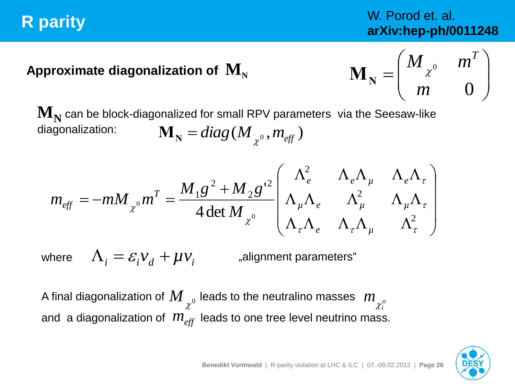### **R parity**

### W. Porod et. al. **arXiv:hep-ph/0011248**

### Approximate diagonalization of  $\mathbf{M}_{\mathbf{N}}$

$$
\mathbf{M}_{\mathbf{N}} = \begin{pmatrix} M_{\chi^0} & m^T \\ m & 0 \end{pmatrix}
$$

 $\mathbf{M}_{\mathbf{N}}$  can be block-diagonalized for small RPV parameters  $\,$  via the Seesaw-like diagonalization:  $\mathbf{M}_{\mathbf{N}} = diag(M_{\chi^0}, m_{e\!f\!f})$ 

$$
m_{\text{eff}} = -m M_{\chi^0} m^T = \frac{M_1 g^2 + M_2 g^2}{4 \det M_{\chi^0}} \begin{pmatrix} \Lambda_e^2 & \Lambda_e \Lambda_\mu & \Lambda_e \Lambda_\tau \\ \Lambda_\mu \Lambda_e & \Lambda_\mu^2 & \Lambda_\mu \Lambda_\tau \\ \Lambda_\tau \Lambda_e & \Lambda_\tau \Lambda_\mu & \Lambda_\tau^2 \end{pmatrix}
$$

where

 $\Lambda_i = \varepsilon_i v_d + \mu v_i$ 

"alignment parameters"

A final diagonalization of  $\displaystyle{M}_{\chi^0}$  leads to the neutralino masses  $\displaystyle{\ m}_{\chi^o_i}$ *i m* and a diagonalization of leads to one tree level neutrino mass. *meff*

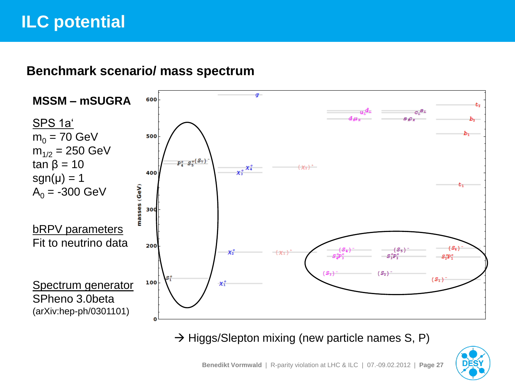### **ILC potential**

#### **Benchmark scenario/ mass spectrum**



 $\rightarrow$  Higgs/Slepton mixing (new particle names S, P)